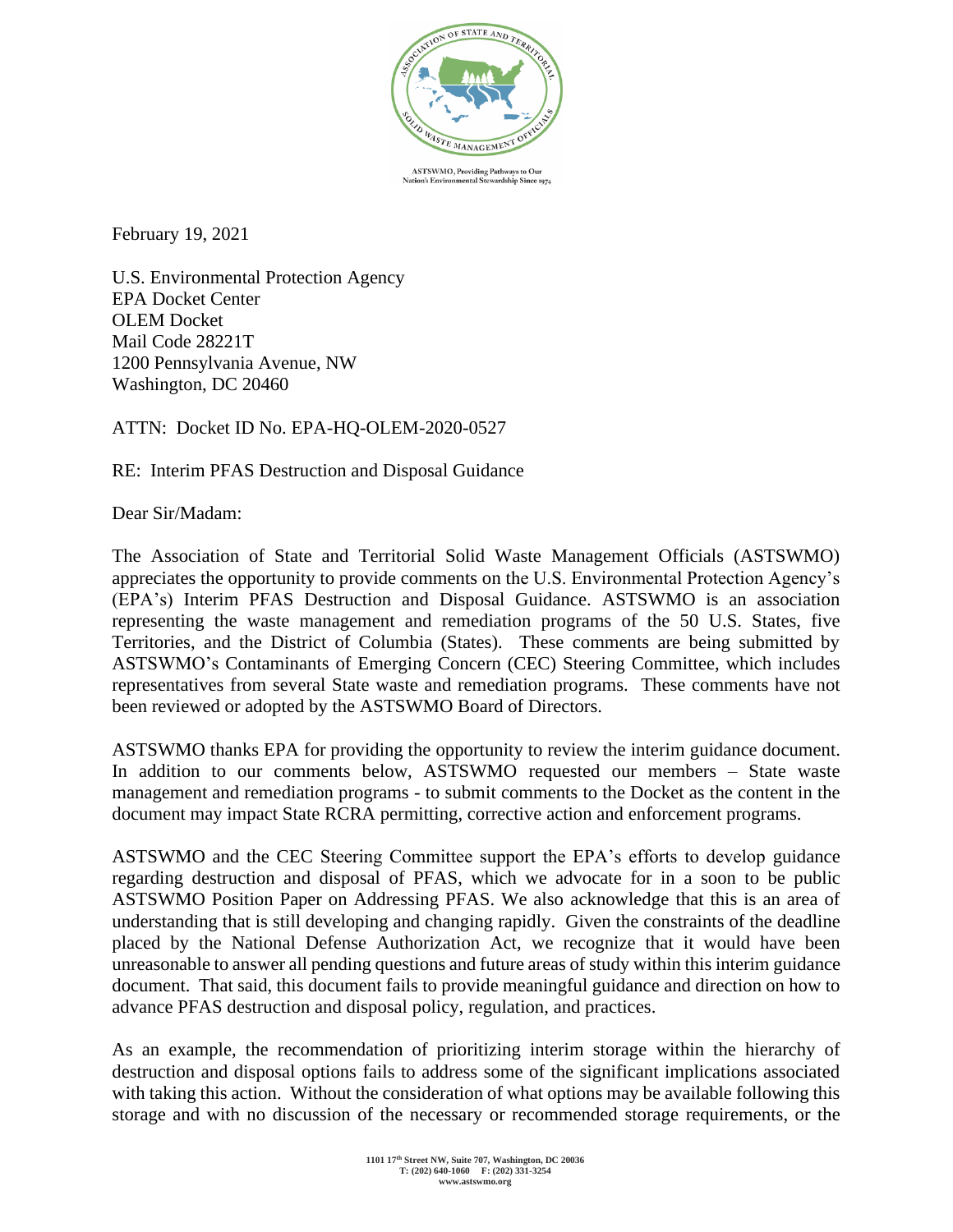

**ASTSWMO**, Providing Pathways to Our atnways te<br>rardship S and C

February 19, 2021

U.S. Environmental Protection Agency EPA Docket Center OLEM Docket Mail Code 28221T 1200 Pennsylvania Avenue, NW Washington, DC 20460

ATTN: Docket ID No. EPA-HQ-OLEM-2020-0527

RE: Interim PFAS Destruction and Disposal Guidance

Dear Sir/Madam:

The Association of State and Territorial Solid Waste Management Officials (ASTSWMO) appreciates the opportunity to provide comments on the U.S. Environmental Protection Agency's (EPA's) Interim PFAS Destruction and Disposal Guidance. ASTSWMO is an association representing the waste management and remediation programs of the 50 U.S. States, five Territories, and the District of Columbia (States). These comments are being submitted by ASTSWMO's Contaminants of Emerging Concern (CEC) Steering Committee, which includes representatives from several State waste and remediation programs. These comments have not been reviewed or adopted by the ASTSWMO Board of Directors.

ASTSWMO thanks EPA for providing the opportunity to review the interim guidance document. In addition to our comments below, ASTSWMO requested our members – State waste management and remediation programs - to submit comments to the Docket as the content in the document may impact State RCRA permitting, corrective action and enforcement programs.

ASTSWMO and the CEC Steering Committee support the EPA's efforts to develop guidance regarding destruction and disposal of PFAS, which we advocate for in a soon to be public ASTSWMO Position Paper on Addressing PFAS. We also acknowledge that this is an area of understanding that is still developing and changing rapidly. Given the constraints of the deadline placed by the National Defense Authorization Act, we recognize that it would have been unreasonable to answer all pending questions and future areas of study within this interim guidance document. That said, this document fails to provide meaningful guidance and direction on how to advance PFAS destruction and disposal policy, regulation, and practices.

As an example, the recommendation of prioritizing interim storage within the hierarchy of destruction and disposal options fails to address some of the significant implications associated with taking this action. Without the consideration of what options may be available following this storage and with no discussion of the necessary or recommended storage requirements, or the